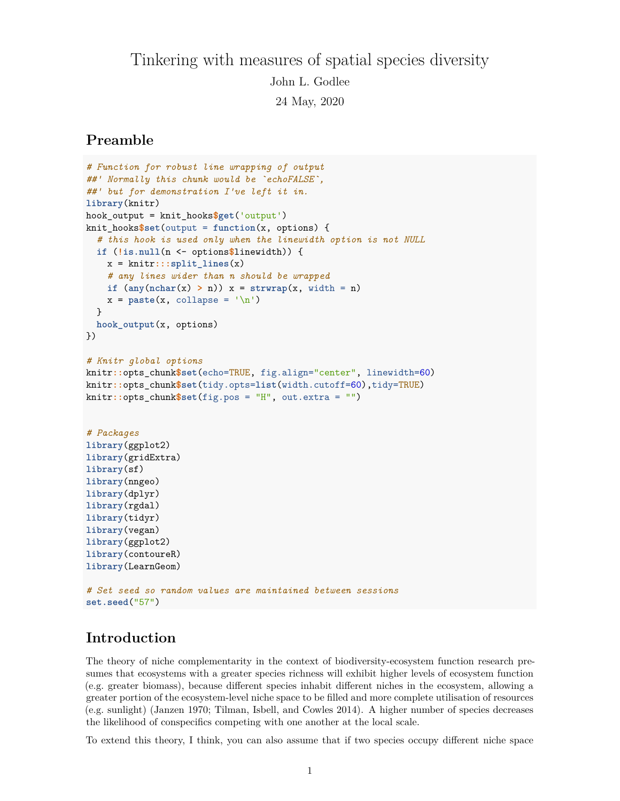# Tinkering with measures of spatial species diversity John L. Godlee 24 May, 2020

# **Preamble**

```
# Function for robust line wrapping of output
##' Normally this chunk would be `echoFALSE`,
##' but for demonstration I've left it in.
library(knitr)
hook_output = knit_hooks$get('output')
knit_hooks$set(output = function(x, options) {
  # this hook is used only when the linewidth option is not NULL
  if (!is.null(n <- options$linewidth)) {
    x = knitr:::split_lines(x)
    # any lines wider than n should be wrapped
    if (\text{any}(\text{nchar}(x) > n)) x = \text{strwrap}(x, \text{width} = n)x = paste(x, collapse = '\n')}
  hook_output(x, options)
})
# Knitr global options
knitr::opts_chunk$set(echo=TRUE, fig.align="center", linewidth=60)
knitr::opts_chunk$set(tidy.opts=list(width.cutoff=60),tidy=TRUE)
knitr::opts_chunk$set(fig.pos = "H", out.extra = "")
# Packages
library(ggplot2)
library(gridExtra)
library(sf)
library(nngeo)
library(dplyr)
library(rgdal)
library(tidyr)
library(vegan)
library(ggplot2)
library(contoureR)
library(LearnGeom)
# Set seed so random values are maintained between sessions
set.seed("57")
```
# **Introduction**

The theory of niche complementarity in the context of biodiversity-ecosystem function research presumes that ecosystems with a greater species richness will exhibit higher levels of ecosystem function (e.g. greater biomass), because different species inhabit different niches in the ecosystem, allowing a greater portion of the ecosystem-level niche space to be filled and more complete utilisation of resources (e.g. sunlight) (Janzen 1970; Tilman, Isbell, and Cowles 2014). A higher number of species decreases the likelihood of conspecifics competing with one another at the local scale.

To extend this theory, I think, you can also assume that if two species occupy different niche space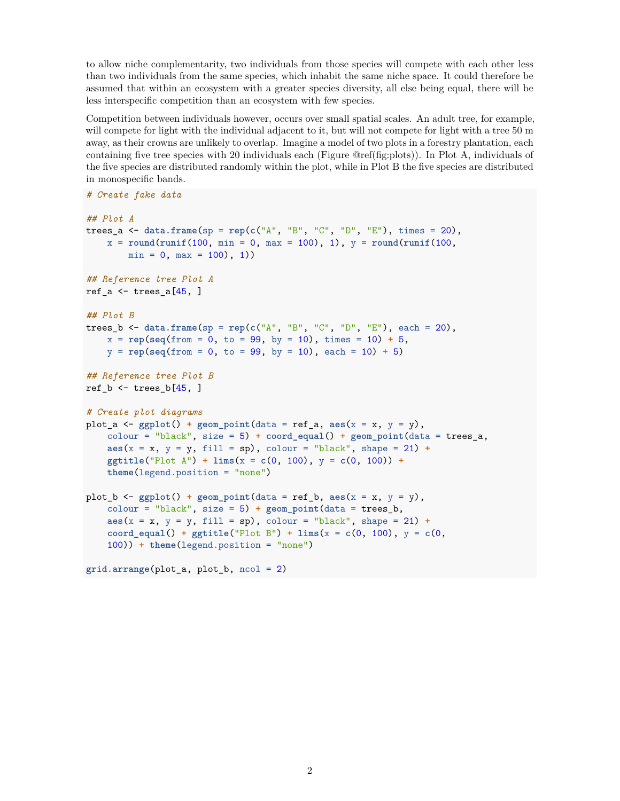to allow niche complementarity, two individuals from those species will compete with each other less than two individuals from the same species, which inhabit the same niche space. It could therefore be assumed that within an ecosystem with a greater species diversity, all else being equal, there will be less interspecific competition than an ecosystem with few species.

Competition between individuals however, occurs over small spatial scales. An adult tree, for example, will compete for light with the individual adjacent to it, but will not compete for light with a tree 50 m away, as their crowns are unlikely to overlap. Imagine a model of two plots in a forestry plantation, each containing five tree species with 20 individuals each (Figure @ref(fig:plots)). In Plot A, individuals of the five species are distributed randomly within the plot, while in Plot B the five species are distributed in monospecific bands.

```
# Create fake data
## Plot A
trees_a <- data.frame(sp = rep(c("A", "B", "C", "D", "E"), times = 20),
    x = round(runit(100, min = 0, max = 100), 1), y = round(runit(100, min = 0, max = 100)),min = 0, max = 100, 1)## Reference tree Plot A
ref a \leq trees a[45, ]
## Plot B
trees_b <- data.frame(sp = rep(c("A", "B", "C", "D", "E"), each = 20),
    x = \text{rep}(\text{seq}(\text{from} = 0, \text{to} = 99, \text{by} = 10), \text{times} = 10) + 5,y = rep(seq(from = 0, to = 99, by = 10), each = 10) + 5)
## Reference tree Plot B
ref_b \leftarrow trees_b[45, ]# Create plot diagrams
plot a \leq gggplot() + geom point(data = ref a, a e s(x = x, y = y),
    colour = "black", size = 5) + coord_equal() + geom_point(data = trees_a,
    \text{aes}(x = x, y = y, \text{fill} = \text{sp}), \text{colour} = \text{"black"}, \text{shape} = 21) +
    ggtitle("Plot A") + lims(x = c(0, 100), y = c(0, 100)) +
    theme(legend.position = "none")
plot_b <- ggplot() + geom\_point(data = ref_b, aes(x = x, y = y),
    colour = "black", size = 5) + geom_point(data = trees_b,
    \text{aes}(x = x, y = y, \text{fill} = \text{sp}), \text{colour} = \text{"black"}, \text{shape} = 21) +
    coord_equal() + ggtitle("Plot B") + lims(x = c(0, 100), y = c(0,
    100)) + theme(legend.position = "none")
grid.arrange(plot_a, plot_b, ncol = 2)
```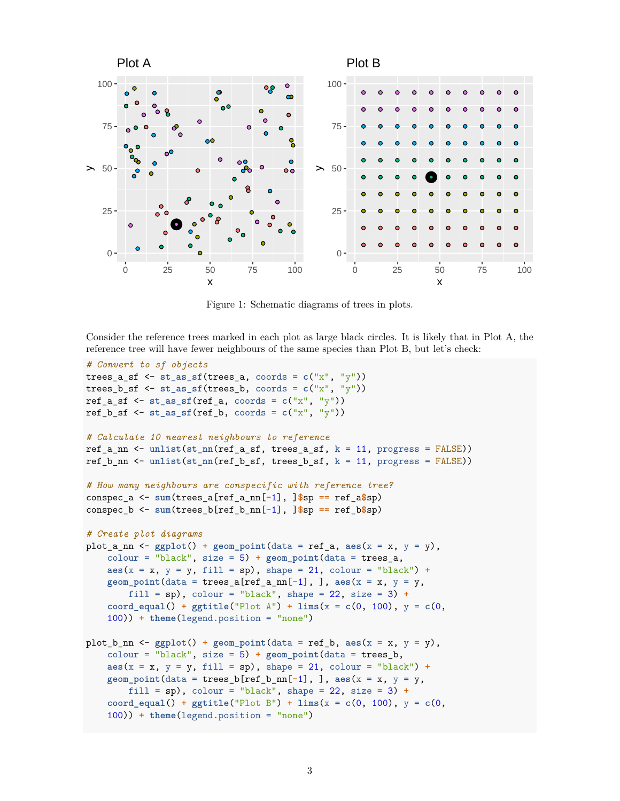

Figure 1: Schematic diagrams of trees in plots.

Consider the reference trees marked in each plot as large black circles. It is likely that in Plot A, the reference tree will have fewer neighbours of the same species than Plot B, but let's check:

```
# Convert to sf objects
trees_a_sf <- st_as_sf(trees_a, coords = c("x", "y"))
trees_b_sf <- st_as_sf(trees_b, coords = c("x", "y"))
ref_a_s f \leftarrow st_a s f (ref_a, \text{const} = c("x", "y"))ref_b_sf \leq st_as_sf(ref_b, coords = c("x", "y"))
# Calculate 10 nearest neighbours to reference
ref_a_nn <- unlist(st_nn(ref_a_sf, trees_a_sf, k = 11, progress = FALSE))
ref_b_nn <- unlist(st_nn(ref_b_sf, trees_b_sf, k = 11, progress = FALSE))
# How many neighbours are conspecific with reference tree?
conspec_a <- sum(trees_a[ref_a_nn[-1], ]$sp == ref_a$sp)
conspec_b <- sum(trees_b[ref_b_nn[-1], ]$sp == ref_b$sp)
# Create plot diagrams
plot_a_nn <- ggplot() + geom-point(data = ref_a, aes(x = x, y = y),colour = "black", size = 5) + geom_point(data = trees_a,
    \text{aes}(x = x, y = y, \text{fill} = \text{sp}), shape = 21, colour = "black") +
    geom\_point(data = trees_a[ref_a(nn[-1], ], ], aes(x = x, y = y,fill = sp, colour = "black", shape = 22, size = 3) +coord_equal() + ggtitle("Plot A") + lims(x = c(0, 100), y = c(0,
    100)) + theme(legend.position = "none")
plot_b_nn <- gpplot() + geom\_point(data = ref_b, aes(x = x, y = y),colour = "black", size = 5) + geom_point(data = trees_b,
    \text{aes}(x = x, y = y, \text{fill} = \text{sp}), shape = 21, colour = "black") +
    geom\_point(data = trees_b[ref_b_nn[-1], ], aes(x = x, y = y,fill = sp), colour = "black", shape = 22, size = 3) +
    coord_equal() + ggtitle("Plot B") + lims(x = c(0, 100), y = c(0,
    100)) + theme(legend.position = "none")
```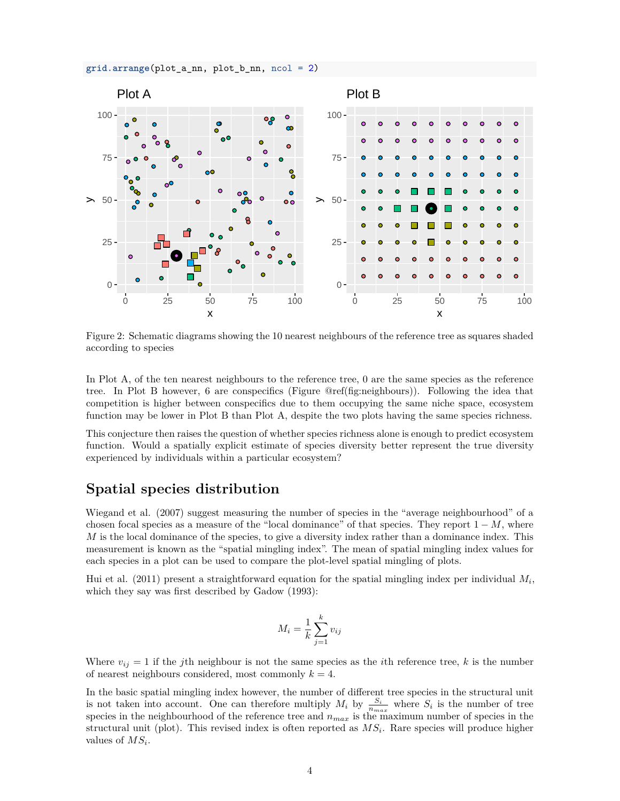



Figure 2: Schematic diagrams showing the 10 nearest neighbours of the reference tree as squares shaded according to species

In Plot A, of the ten nearest neighbours to the reference tree, 0 are the same species as the reference tree. In Plot B however, 6 are conspecifics (Figure @ref(fig:neighbours)). Following the idea that competition is higher between conspecifics due to them occupying the same niche space, ecosystem function may be lower in Plot B than Plot A, despite the two plots having the same species richness.

This conjecture then raises the question of whether species richness alone is enough to predict ecosystem function. Would a spatially explicit estimate of species diversity better represent the true diversity experienced by individuals within a particular ecosystem?

# **Spatial species distribution**

Wiegand et al. (2007) suggest measuring the number of species in the "average neighbourhood" of a chosen focal species as a measure of the "local dominance" of that species. They report  $1 - M$ , where *M* is the local dominance of the species, to give a diversity index rather than a dominance index. This measurement is known as the "spatial mingling index". The mean of spatial mingling index values for each species in a plot can be used to compare the plot-level spatial mingling of plots.

Hui et al. (2011) present a straightforward equation for the spatial mingling index per individual *M<sup>i</sup>* , which they say was first described by Gadow (1993):

$$
M_i = \frac{1}{k} \sum_{j=1}^{k} v_{ij}
$$

Where  $v_{ij} = 1$  if the *j*th neighbour is not the same species as the *i*th reference tree, *k* is the number of nearest neighbours considered, most commonly  $k = 4$ .

In the basic spatial mingling index however, the number of different tree species in the structural unit is not taken into account. One can therefore multiply  $M_i$  by  $\frac{S_i}{n_{max}}$  where  $S_i$  is the number of tree species in the neighbourhood of the reference tree and *nmax* is the maximum number of species in the structural unit (plot). This revised index is often reported as *MS<sup>i</sup>* . Rare species will produce higher values of *MS<sup>i</sup>* .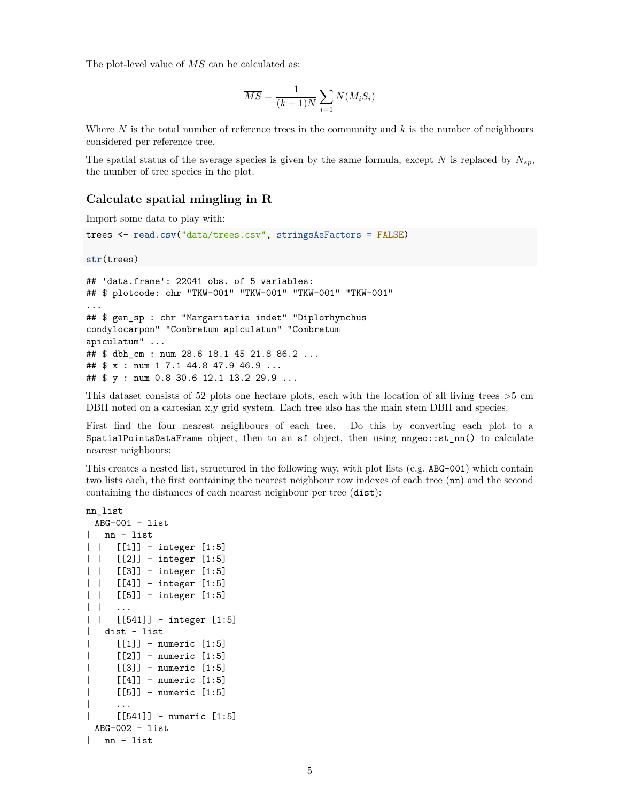The plot-level value of  $\overline{MS}$  can be calculated as:

$$
\overline{MS} = \frac{1}{(k+1)N} \sum_{i=1} N(M_i S_i)
$$

Where *N* is the total number of reference trees in the community and *k* is the number of neighbours considered per reference tree.

The spatial status of the average species is given by the same formula, except *N* is replaced by  $N_{sp}$ , the number of tree species in the plot.

#### **Calculate spatial mingling in R**

Import some data to play with:

```
trees <- read.csv("data/trees.csv", stringsAsFactors = FALSE)
```
**str**(trees)

```
## 'data.frame': 22041 obs. of 5 variables:
## $ plotcode: chr "TKW-001" "TKW-001" "TKW-001" "TKW-001"
...
## $ gen_sp : chr "Margaritaria indet" "Diplorhynchus
condylocarpon" "Combretum apiculatum" "Combretum
apiculatum" ...
## $ dbh_cm : num 28.6 18.1 45 21.8 86.2 ...
## $ x : num 1 7.1 44.8 47.9 46.9 ...
## $ y : num 0.8 30.6 12.1 13.2 29.9 ...
```
This dataset consists of 52 plots one hectare plots, each with the location of all living trees >5 cm DBH noted on a cartesian x,y grid system. Each tree also has the main stem DBH and species.

First find the four nearest neighbours of each tree. Do this by converting each plot to a SpatialPointsDataFrame object, then to an sf object, then using nngeo::st\_nn() to calculate nearest neighbours:

This creates a nested list, structured in the following way, with plot lists (e.g. ABG-001) which contain two lists each, the first containing the nearest neighbour row indexes of each tree (nn) and the second containing the distances of each nearest neighbour per tree (dist):

```
nn_list
 ABG-001 - list| nn - list
| | [[1]] - integer [1:5]
| | [[2]] - integer [1:5]
| | [[3]] - integer [1:5]
| | [[4]] - integer [1:5]
| | [[5]] - integer [1:5]
| \ \ || | [[541]] - integer [1:5]
| dist - list
| [[1]] - numeric [1:5]
| [[2]] - numeric [1:5]
| [[3]] - numeric [1:5]
| [[4]] - numeric [1:5]
| [[5]] - numeric [1:5]
\| ...
| [[541]] - numeric [1:5]
 ABG-002 - list| nn - list
```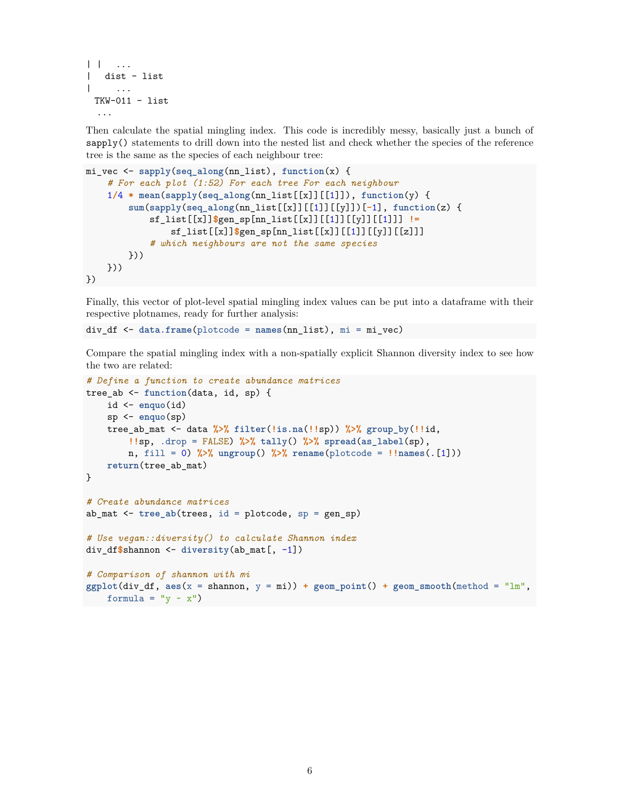```
| | ...
| dist - list
\| ...
 TKW-011 - list...
```
Then calculate the spatial mingling index. This code is incredibly messy, basically just a bunch of sapply() statements to drill down into the nested list and check whether the species of the reference tree is the same as the species of each neighbour tree:

```
mi_vec <- sapply(seq_along(nn_list), function(x) {
    # For each plot (1:52) For each tree For each neighbour
    1/4 * mean(sapply(seq_along(nn_list[[x]][[1]]), function(y) {
        sum(sapply(seq_along(nn_list[[x]][[1]][[y]])[-1], function(z) {
            sf_list[[x]]$gen_sp[nn_list[[x]][[1]][[y]][[1]]] !=
                sf_list[[x]]$gen_sp[nn_list[[x]][[1]][[y]][[z]]]
            # which neighbours are not the same species
        }))
    }))
})
```
Finally, this vector of plot-level spatial mingling index values can be put into a dataframe with their respective plotnames, ready for further analysis:

div\_df <- **data.frame**(plotcode = **names**(nn\_list), mi = mi\_vec)

Compare the spatial mingling index with a non-spatially explicit Shannon diversity index to see how the two are related:

```
# Define a function to create abundance matrices
tree_ab <- function(data, id, sp) {
    id <- enquo(id)
    sp <- enquo(sp)
    tree_ab_mat <- data %>% filter(!is.na(!!sp)) %>% group_by(!!id,
        !!sp, .drop = FALSE) %>% tally() %>% spread(as_label(sp),
        n, fill = 0) %>% ungroup() %>% rename(plotcode = !!names(.[1]))
    return(tree_ab_mat)
}
# Create abundance matrices
ab_mat <- tree_ab(trees, id = plotcode, sp = gen_sp)
# Use vegan::diversity() to calculate Shannon index
div_df$shannon <- diversity(ab_mat[, -1])
# Comparison of shannon with mi
ggplot(div_df, aes(x = shannon, y = mi)) + geom_point() + geom_smooth(method = "lm",
    formula = "y \sim x")
```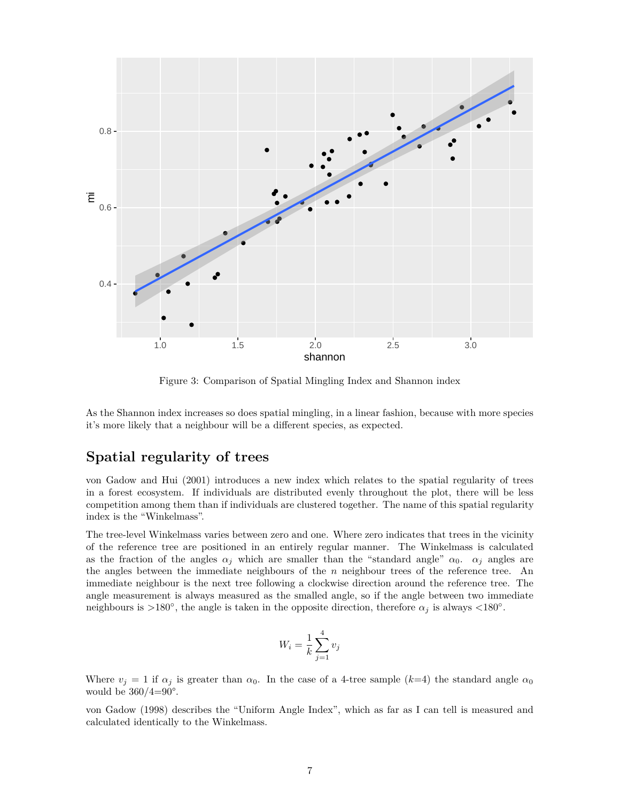

Figure 3: Comparison of Spatial Mingling Index and Shannon index

As the Shannon index increases so does spatial mingling, in a linear fashion, because with more species it's more likely that a neighbour will be a different species, as expected.

# **Spatial regularity of trees**

von Gadow and Hui (2001) introduces a new index which relates to the spatial regularity of trees in a forest ecosystem. If individuals are distributed evenly throughout the plot, there will be less competition among them than if individuals are clustered together. The name of this spatial regularity index is the "Winkelmass".

The tree-level Winkelmass varies between zero and one. Where zero indicates that trees in the vicinity of the reference tree are positioned in an entirely regular manner. The Winkelmass is calculated as the fraction of the angles  $\alpha_j$  which are smaller than the "standard angle"  $\alpha_0$ .  $\alpha_j$  angles are the angles between the immediate neighbours of the *n* neighbour trees of the reference tree. An immediate neighbour is the next tree following a clockwise direction around the reference tree. The angle measurement is always measured as the smalled angle, so if the angle between two immediate neighbours is >180<sup>°</sup>, the angle is taken in the opposite direction, therefore  $\alpha_j$  is always <180<sup>°</sup>.

$$
W_i = \frac{1}{k} \sum_{j=1}^{4} v_j
$$

Where  $v_i = 1$  if  $\alpha_i$  is greater than  $\alpha_0$ . In the case of a 4-tree sample ( $k=4$ ) the standard angle  $\alpha_0$ would be  $360/4=90^\circ$ .

von Gadow (1998) describes the "Uniform Angle Index", which as far as I can tell is measured and calculated identically to the Winkelmass.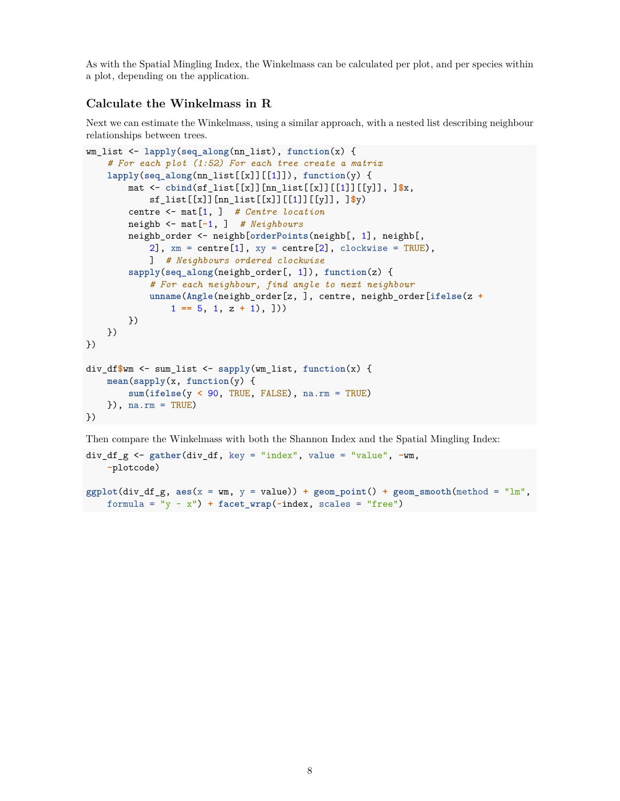As with the Spatial Mingling Index, the Winkelmass can be calculated per plot, and per species within a plot, depending on the application.

#### **Calculate the Winkelmass in R**

Next we can estimate the Winkelmass, using a similar approach, with a nested list describing neighbour relationships between trees.

```
wm_list <- lapply(seq_along(nn_list), function(x) {
    # For each plot (1:52) For each tree create a matrix
    lapply(seq_along(nn_list[[x]][[1]]), function(y) {
        mat <- cbind(sf_list[[x]][nn_list[[x]][[1]][[y]], ]$x,
            sf_list[[x]][nn_list[[x]][[1]][[y]], ]$y)
        centre <- mat[1, ] # Centre location
        neighb <- mat[-1, ] # Neighbours
        neighb_order <- neighb[orderPoints(neighb[, 1], neighb[,
            2], xm = centre[1], xy = centre[2], clockwise = TRUE),
            ] # Neighbours ordered clockwise
        sapply(seq_along(neighb_order[, 1]), function(z) {
            # For each neighbour, find angle to next neighbour
            unname(Angle(neighb_order[z, ], centre, neighb_order[ifelse(z +
                1 == 5, 1, z + 1), \rangle})
    })
})
div_df$wm <- sum_list <- sapply(wm_list, function(x) {
    mean(sapply(x, function(y) {
        sum(ifelse(y < 90, TRUE, FALSE), na.rm = TRUE)
    }), na.rm = TRUE)
})
```
Then compare the Winkelmass with both the Shannon Index and the Spatial Mingling Index:

```
div_df_g <- gather(div_df, key = "index", value = "value", -wm,
    -plotcode)
```

```
ggplot(div_df_g, aes(x = wm, y = value)) + geom-point() + geom\_smooth(method = "lm",formula = "y \sim x") + facet_wrap(\text{index}, \text{ scales} = "free")
```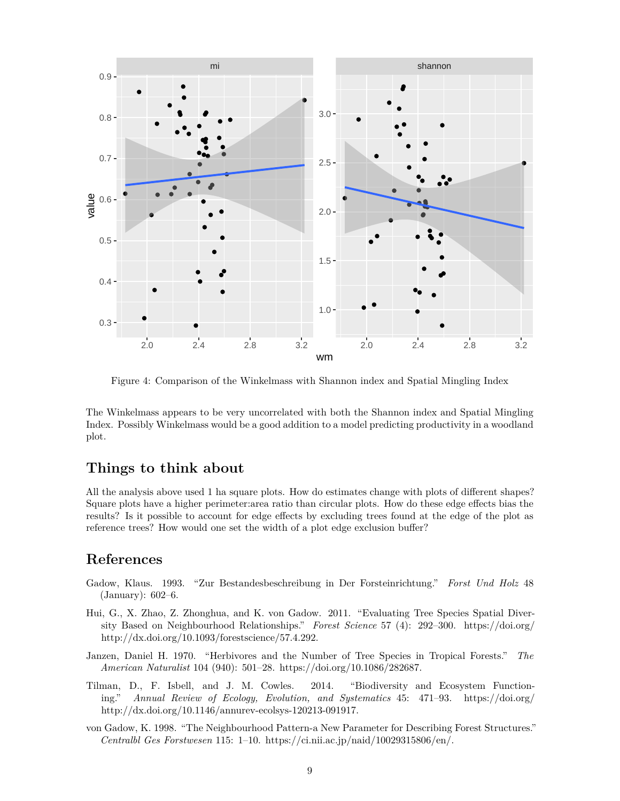

Figure 4: Comparison of the Winkelmass with Shannon index and Spatial Mingling Index

The Winkelmass appears to be very uncorrelated with both the Shannon index and Spatial Mingling Index. Possibly Winkelmass would be a good addition to a model predicting productivity in a woodland plot.

# **Things to think about**

All the analysis above used 1 ha square plots. How do estimates change with plots of different shapes? Square plots have a higher perimeter:area ratio than circular plots. How do these edge effects bias the results? Is it possible to account for edge effects by excluding trees found at the edge of the plot as reference trees? How would one set the width of a plot edge exclusion buffer?

# **References**

- Gadow, Klaus. 1993. "Zur Bestandesbeschreibung in Der Forsteinrichtung." *Forst Und Holz* 48 (January): 602–6.
- Hui, G., X. Zhao, Z. Zhonghua, and K. von Gadow. 2011. "Evaluating Tree Species Spatial Diversity Based on Neighbourhood Relationships." *Forest Science* 57 (4): 292–300. [https://doi.org/](https://doi.org/%20http://dx.doi.org/10.1093/forestscience/57.4.292%20) [http://dx.doi.org/10.1093/forestscience/57.4.292.](https://doi.org/%20http://dx.doi.org/10.1093/forestscience/57.4.292%20)
- Janzen, Daniel H. 1970. "Herbivores and the Number of Tree Species in Tropical Forests." *The American Naturalist* 104 (940): 501–28. <https://doi.org/10.1086/282687>.
- Tilman, D., F. Isbell, and J. M. Cowles. 2014. "Biodiversity and Ecosystem Functioning." *Annual Review of Ecology, Evolution, and Systematics* 45: 471–93. [https://doi.org/](https://doi.org/%20http://dx.doi.org/10.1146/annurev-ecolsys-120213-091917%20) [http://dx.doi.org/10.1146/annurev-ecolsys-120213-091917.](https://doi.org/%20http://dx.doi.org/10.1146/annurev-ecolsys-120213-091917%20)
- von Gadow, K. 1998. "The Neighbourhood Pattern-a New Parameter for Describing Forest Structures." *Centralbl Ges Forstwesen* 115: 1–10. [https://ci.nii.ac.jp/naid/10029315806/en/.](https://ci.nii.ac.jp/naid/10029315806/en/)